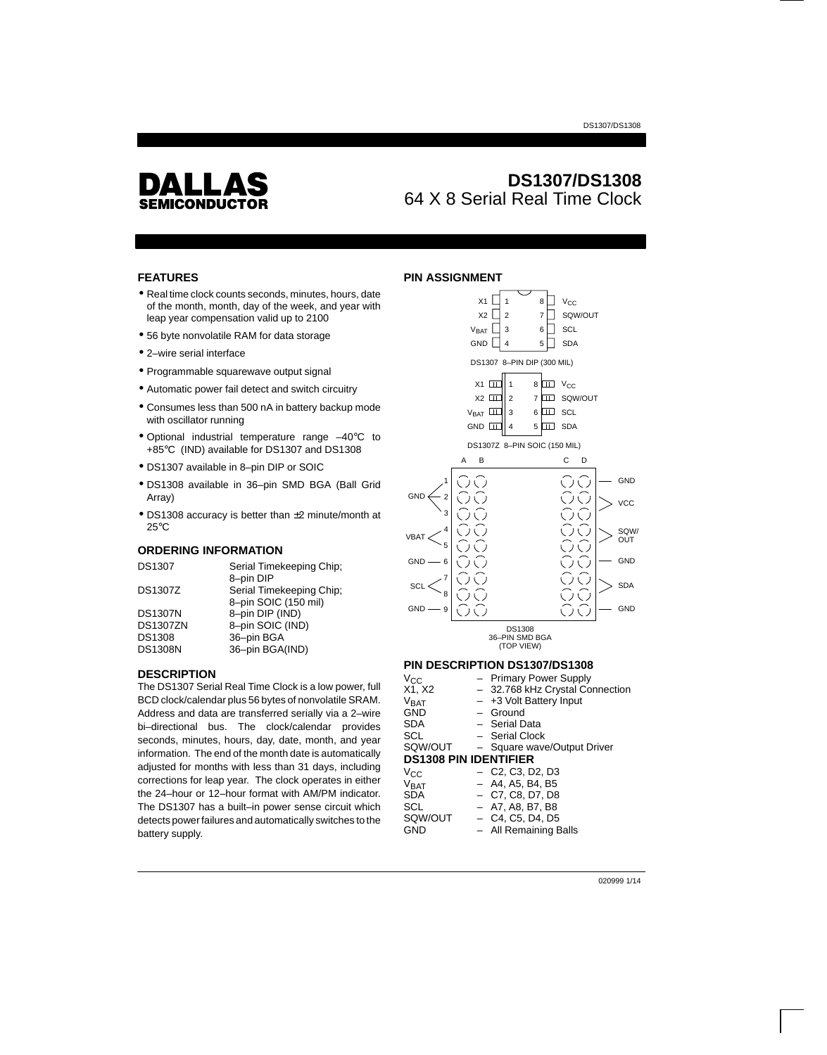

# **DS1307/DS1308** 64 X 8 Serial Real Time Clock

## **FEATURES**

- Real time clock counts seconds, minutes, hours, date of the month, month, day of the week, and year with leap year compensation valid up to 2100
- 56 byte nonvolatile RAM for data storage
- 2–wire serial interface
- Programmable squarewave output signal
- Automatic power fail detect and switch circuitry
- Consumes less than 500 nA in battery backup mode with oscillator running
- Optional industrial temperature range –40°C to +85°C (IND) available for DS1307 and DS1308
- DS1307 available in 8–pin DIP or SOIC
- DS1308 available in 36–pin SMD BGA (Ball Grid Array)
- DS1308 accuracy is better than ±2 minute/month at 25°C

#### **ORDERING INFORMATION**

| Serial Timekeeping Chip; |
|--------------------------|
| 8-pin DIP                |
| Serial Timekeeping Chip; |
| 8-pin SOIC (150 mil)     |
| 8-pin DIP (IND)          |
| 8-pin SOIC (IND)         |
| 36-pin BGA               |
| 36-pin BGA(IND)          |
|                          |

#### **DESCRIPTION**

The DS1307 Serial Real Time Clock is a low power, full BCD clock/calendar plus 56 bytes of nonvolatile SRAM. Address and data are transferred serially via a 2–wire bi–directional bus. The clock/calendar provides seconds, minutes, hours, day, date, month, and year information. The end of the month date is automatically adjusted for months with less than 31 days, including corrections for leap year. The clock operates in either the 24–hour or 12–hour format with AM/PM indicator. The DS1307 has a built–in power sense circuit which detects power failures and automatically switches to the battery supply.

## **PIN ASSIGNMENT**



|            |                    | - Primary Power Supply                                                |
|------------|--------------------|-----------------------------------------------------------------------|
| X1, X2     |                    | - 32.768 kHz Crystal Connection                                       |
| Vrat       |                    | $-$ +3 Volt Battery Input                                             |
| GND        |                    | $-$ Ground                                                            |
| <b>SDA</b> |                    | - Serial Data                                                         |
| SCL        |                    | - Serial Clock                                                        |
|            |                    | SQW/OUT - Square wave/Output Driver                                   |
|            |                    |                                                                       |
| $V_{CC}$   |                    | $-$ C <sub>2</sub> , C <sub>3</sub> , D <sub>2</sub> , D <sub>3</sub> |
|            |                    | $-$ A4, A5, B4, B5                                                    |
| <b>SDA</b> |                    | $-$ C7, C8, D7, D8                                                    |
| <b>SCL</b> |                    | $-$ A7, A8, B7, B8                                                    |
| SQW/OUT    |                    | $-$ C4, C5, D4, D5                                                    |
| GND        |                    | - All Remaining Balls                                                 |
|            | Vcc<br><b>VBAT</b> | <b>DS1308 PIN IDENTIFIER</b>                                          |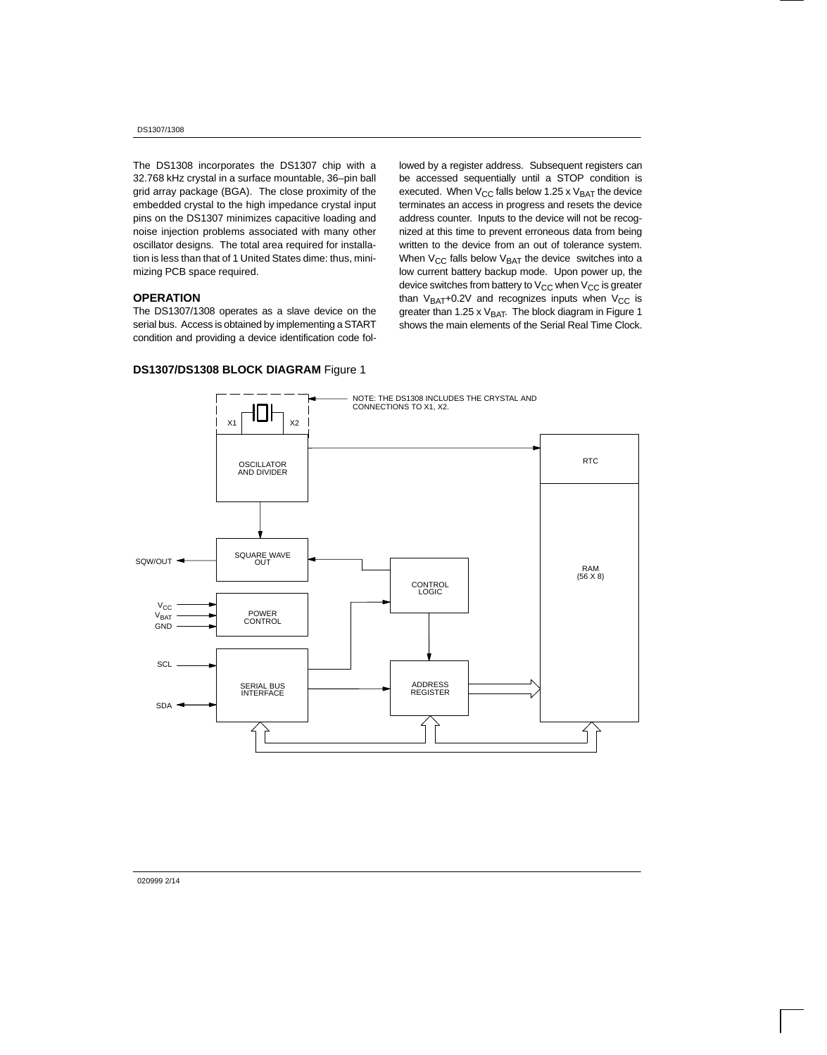The DS1308 incorporates the DS1307 chip with a 32.768 kHz crystal in a surface mountable, 36–pin ball grid array package (BGA). The close proximity of the embedded crystal to the high impedance crystal input pins on the DS1307 minimizes capacitive loading and noise injection problems associated with many other oscillator designs. The total area required for installation is less than that of 1 United States dime: thus, minimizing PCB space required.

#### **OPERATION**

The DS1307/1308 operates as a slave device on the serial bus. Access is obtained by implementing a START condition and providing a device identification code followed by a register address. Subsequent registers can be accessed sequentially until a STOP condition is executed. When  $V_{CC}$  falls below 1.25 x  $V_{BAT}$  the device terminates an access in progress and resets the device address counter. Inputs to the device will not be recognized at this time to prevent erroneous data from being written to the device from an out of tolerance system. When  $V_{CC}$  falls below  $V_{BAT}$  the device switches into a low current battery backup mode. Upon power up, the device switches from battery to  $V_{CC}$  when  $V_{CC}$  is greater than  $V_{BAT}$ +0.2V and recognizes inputs when  $V_{CC}$  is greater than 1.25 x  $V_{BAT}$ . The block diagram in Figure 1 shows the main elements of the Serial Real Time Clock.



## **DS1307/DS1308 BLOCK DIAGRAM** Figure 1

020999 2/14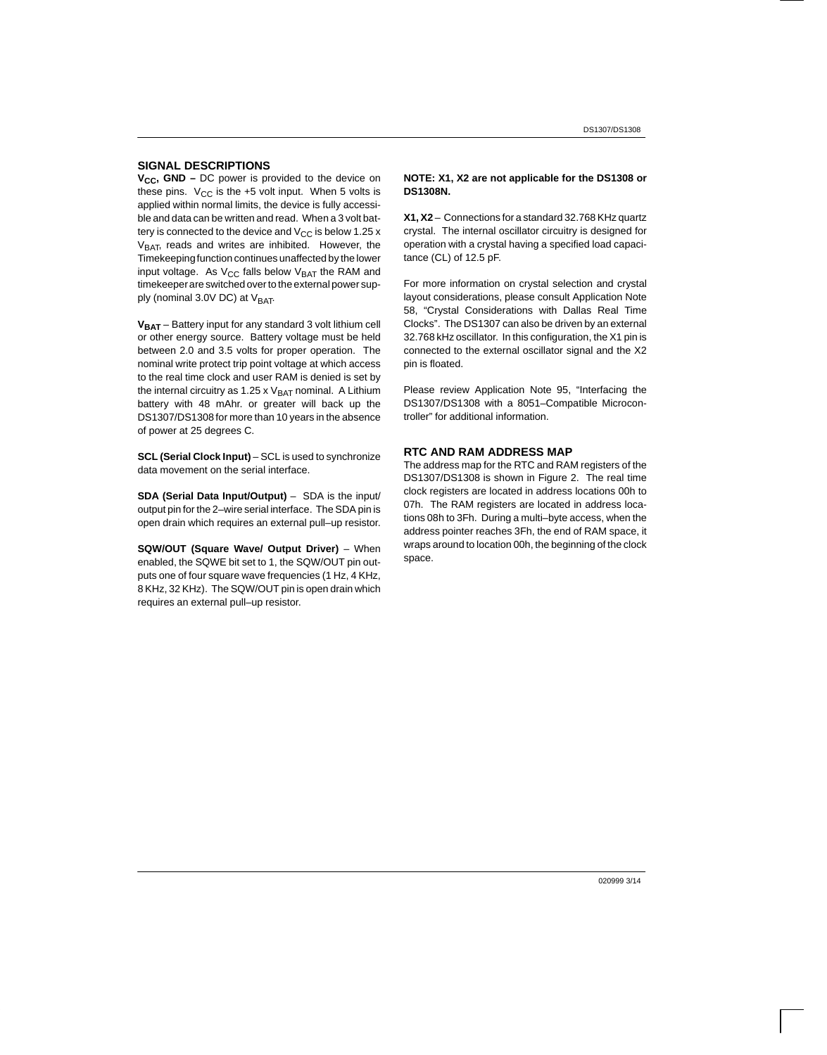#### **SIGNAL DESCRIPTIONS**

**V<sub>CC</sub>, GND –** DC power is provided to the device on these pins.  $V_{CC}$  is the +5 volt input. When 5 volts is applied within normal limits, the device is fully accessible and data can be written and read. When a 3 volt battery is connected to the device and  $V_{CC}$  is below 1.25 x  $V<sub>BAT</sub>$ , reads and writes are inhibited. However, the Timekeeping function continues unaffected by the lower input voltage. As  $V_{CC}$  falls below  $V_{BAT}$  the RAM and timekeeper are switched over to the external power supply (nominal 3.0V DC) at  $V<sub>BAT</sub>$ .

**VBAT** – Battery input for any standard 3 volt lithium cell or other energy source. Battery voltage must be held between 2.0 and 3.5 volts for proper operation. The nominal write protect trip point voltage at which access to the real time clock and user RAM is denied is set by the internal circuitry as 1.25 x  $V_{BAT}$  nominal. A Lithium battery with 48 mAhr. or greater will back up the DS1307/DS1308 for more than 10 years in the absence of power at 25 degrees C.

**SCL (Serial Clock Input)** – SCL is used to synchronize data movement on the serial interface.

**SDA (Serial Data Input/Output)** – SDA is the input/ output pin for the 2–wire serial interface. The SDA pin is open drain which requires an external pull–up resistor.

**SQW/OUT (Square Wave/ Output Driver)** – When enabled, the SQWE bit set to 1, the SQW/OUT pin outputs one of four square wave frequencies (1 Hz, 4 KHz, 8 KHz, 32 KHz). The SQW/OUT pin is open drain which requires an external pull–up resistor.

#### **NOTE: X1, X2 are not applicable for the DS1308 or DS1308N.**

**X1, X2** – Connections for a standard 32.768 KHz quartz crystal. The internal oscillator circuitry is designed for operation with a crystal having a specified load capacitance (CL) of 12.5 pF.

For more information on crystal selection and crystal layout considerations, please consult Application Note 58, "Crystal Considerations with Dallas Real Time Clocks". The DS1307 can also be driven by an external 32.768 kHz oscillator. In this configuration, the X1 pin is connected to the external oscillator signal and the X2 pin is floated.

Please review Application Note 95, "Interfacing the DS1307/DS1308 with a 8051–Compatible Microcontroller" for additional information.

#### **RTC AND RAM ADDRESS MAP**

The address map for the RTC and RAM registers of the DS1307/DS1308 is shown in Figure 2. The real time clock registers are located in address locations 00h to 07h. The RAM registers are located in address locations 08h to 3Fh. During a multi–byte access, when the address pointer reaches 3Fh, the end of RAM space, it wraps around to location 00h, the beginning of the clock space.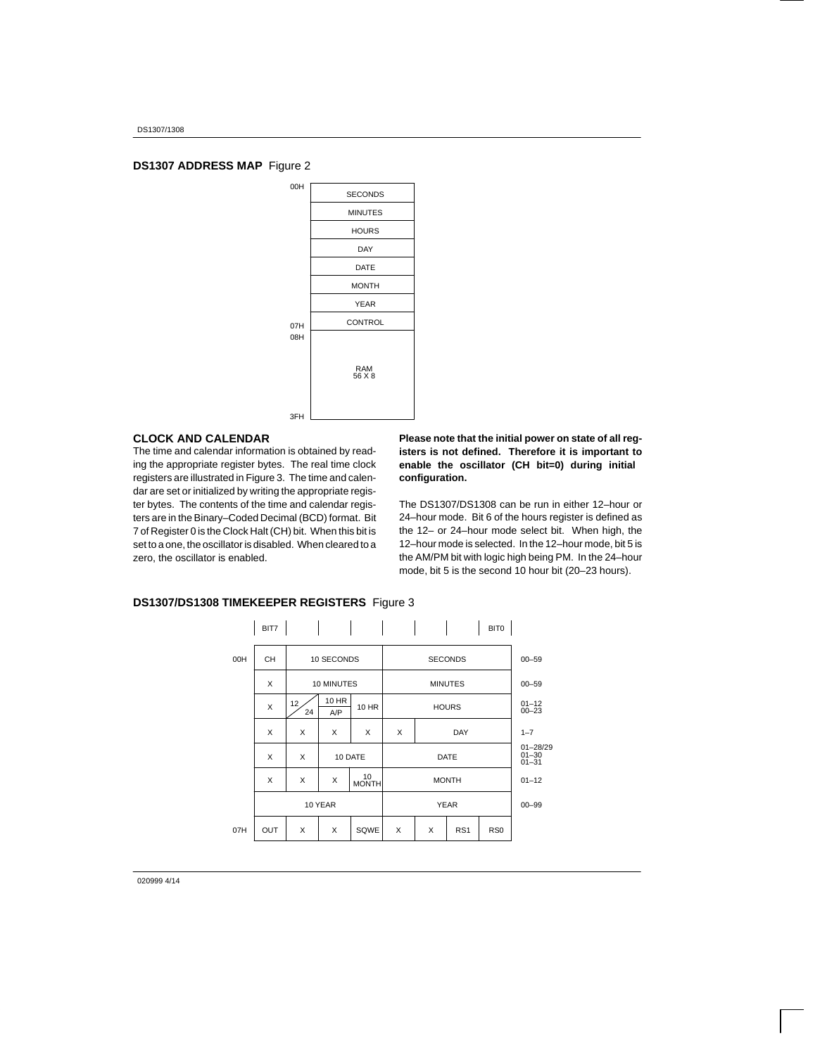## **DS1307 ADDRESS MAP** Figure 2



#### **CLOCK AND CALENDAR**

The time and calendar information is obtained by reading the appropriate register bytes. The real time clock registers are illustrated in Figure 3. The time and calendar are set or initialized by writing the appropriate register bytes. The contents of the time and calendar registers are in the Binary–Coded Decimal (BCD) format. Bit 7 of Register 0 is the Clock Halt (CH) bit. When this bit is set to a one, the oscillator is disabled. When cleared to a zero, the oscillator is enabled.

**Please note that the initial power on state of all registers is not defined. Therefore it is important to enable the oscillator (CH bit=0) during initial configuration.**

The DS1307/DS1308 can be run in either 12–hour or 24–hour mode. Bit 6 of the hours register is defined as the 12– or 24–hour mode select bit. When high, the 12–hour mode is selected. In the 12–hour mode, bit 5 is the AM/PM bit with logic high being PM. In the 24–hour mode, bit 5 is the second 10 hour bit (20–23 hours).

|     | BIT7      |                       |              |             |   |   |                 | BIT0            |                                        |
|-----|-----------|-----------------------|--------------|-------------|---|---|-----------------|-----------------|----------------------------------------|
| 00H | <b>CH</b> |                       | 10 SECONDS   |             |   |   | <b>SECONDS</b>  |                 | $00 - 59$                              |
|     | X         |                       | 10 MINUTES   |             |   |   | <b>MINUTES</b>  |                 | $00 - 59$                              |
|     | X         | 12 <sup>°</sup><br>24 | 10 HR<br>A/P | 10 HR       |   |   | <b>HOURS</b>    |                 | $01 - 12$<br>$00 - 23$                 |
|     | X         | X                     | X            | X           | X |   | DAY             |                 | $1 - 7$                                |
|     | X         | X                     |              | 10 DATE     |   |   | <b>DATE</b>     |                 | $01 - 28/29$<br>$01 - 30$<br>$01 - 31$ |
|     | X         | X                     | X            | 10<br>MONTH |   |   | <b>MONTH</b>    |                 | $01 - 12$                              |
|     |           |                       | 10 YEAR      |             |   |   | <b>YEAR</b>     |                 | $00 - 99$                              |
| 07H | OUT       | X                     | X            | SQWE        | X | X | RS <sub>1</sub> | RS <sub>0</sub> |                                        |

## **DS1307/DS1308 TIMEKEEPER REGISTERS** Figure 3

020999 4/14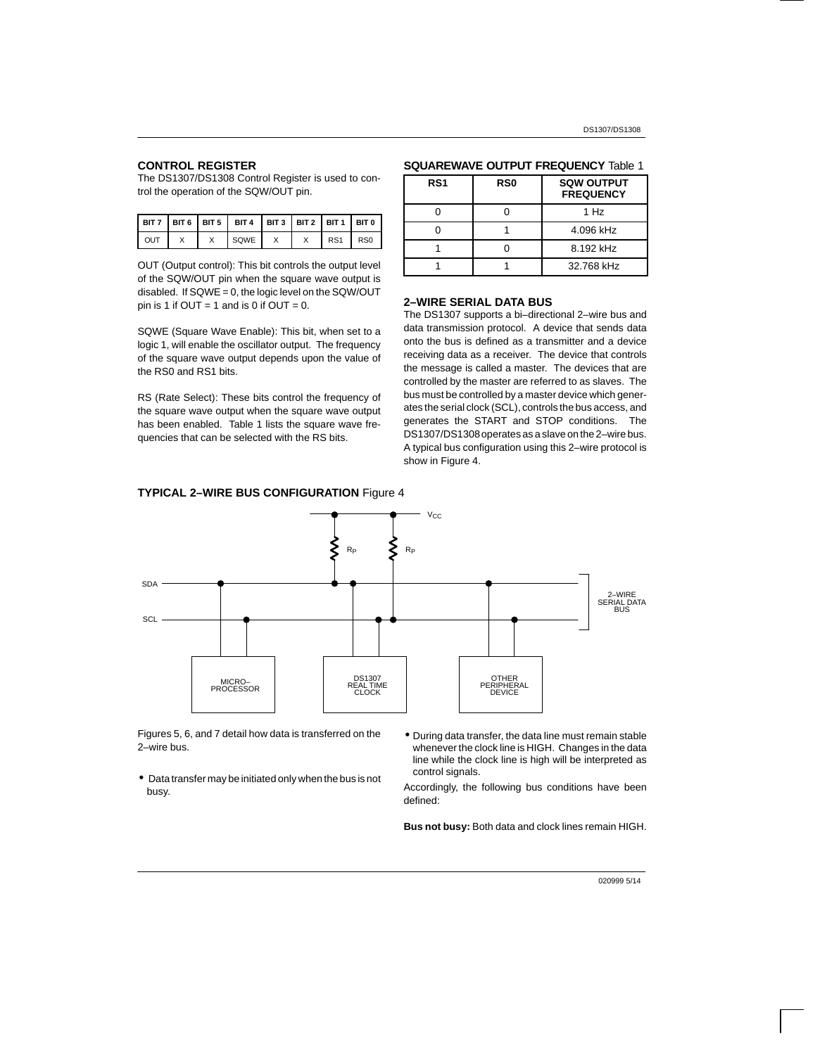## **CONTROL REGISTER**

The DS1307/DS1308 Control Register is used to control the operation of the SQW/OUT pin.

|     |  | BIT 7   BIT 6   BIT 5   BIT 4   BIT 3   BIT 2   BIT 1   BIT 0 |  |                 |                 |
|-----|--|---------------------------------------------------------------|--|-----------------|-----------------|
| OUT |  | SQWE                                                          |  | RS <sub>1</sub> | RS <sub>0</sub> |

OUT (Output control): This bit controls the output level of the SQW/OUT pin when the square wave output is disabled. If SQWE = 0, the logic level on the SQW/OUT pin is 1 if  $OUT = 1$  and is 0 if  $OUT = 0$ .

SQWE (Square Wave Enable): This bit, when set to a logic 1, will enable the oscillator output. The frequency of the square wave output depends upon the value of the RS0 and RS1 bits.

RS (Rate Select): These bits control the frequency of the square wave output when the square wave output has been enabled. Table 1 lists the square wave frequencies that can be selected with the RS bits.



1 1 32.768 kHz

#### **SQUAREWAVE OUTPUT FREQUENCY** Table 1

#### **2–WIRE SERIAL DATA BUS**

The DS1307 supports a bi–directional 2–wire bus and data transmission protocol. A device that sends data onto the bus is defined as a transmitter and a device receiving data as a receiver. The device that controls the message is called a master. The devices that are controlled by the master are referred to as slaves. The bus must be controlled by a master device which generates the serial clock (SCL), controls the bus access, and generates the START and STOP conditions. The DS1307/DS1308 operates as a slave on the 2–wire bus. A typical bus configuration using this 2–wire protocol is show in Figure 4.



Figures 5, 6, and 7 detail how data is transferred on the 2–wire bus.

- Data transfer may be initiated only when the bus is not busy.
- During data transfer, the data line must remain stable whenever the clock line is HIGH. Changes in the data line while the clock line is high will be interpreted as control signals.

Accordingly, the following bus conditions have been defined:

**Bus not busy:** Both data and clock lines remain HIGH.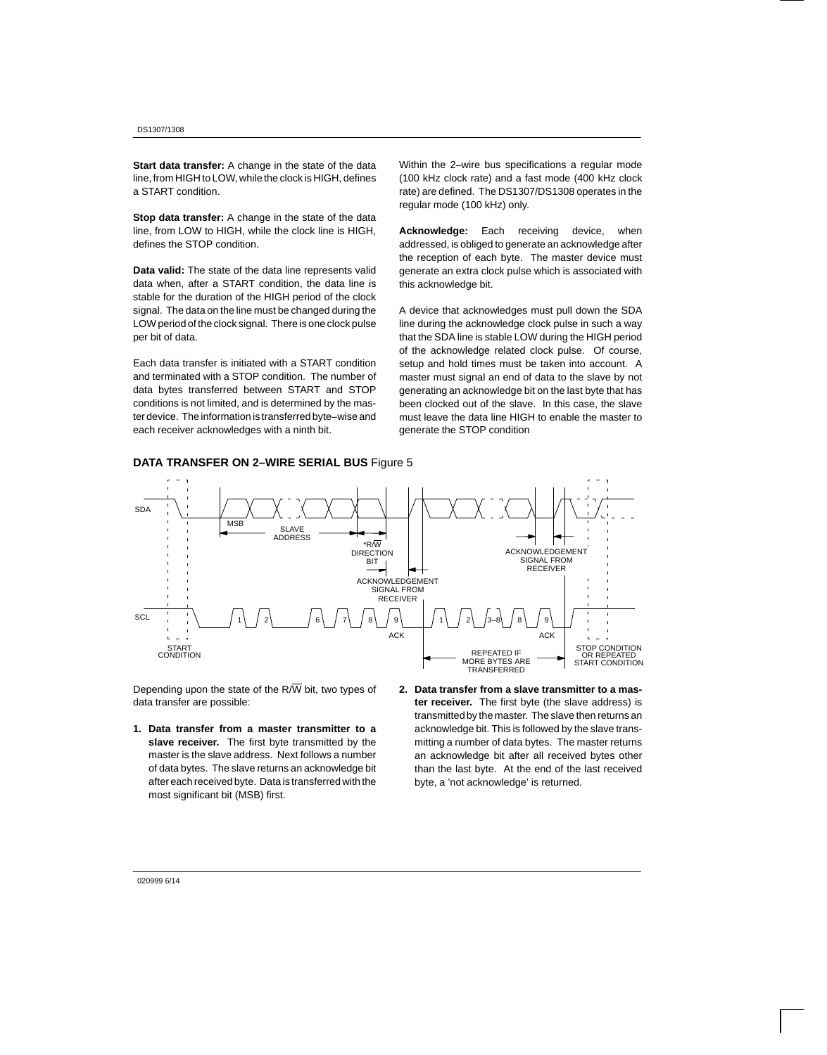**Start data transfer:** A change in the state of the data line, from HIGH to LOW, while the clock is HIGH, defines a START condition.

**Stop data transfer:** A change in the state of the data line, from LOW to HIGH, while the clock line is HIGH, defines the STOP condition.

**Data valid:** The state of the data line represents valid data when, after a START condition, the data line is stable for the duration of the HIGH period of the clock signal. The data on the line must be changed during the LOW period of the clock signal. There is one clock pulse per bit of data.

Each data transfer is initiated with a START condition and terminated with a STOP condition. The number of data bytes transferred between START and STOP conditions is not limited, and is determined by the master device. The information is transferred byte–wise and each receiver acknowledges with a ninth bit.

Within the 2–wire bus specifications a regular mode (100 kHz clock rate) and a fast mode (400 kHz clock rate) are defined. The DS1307/DS1308 operates in the regular mode (100 kHz) only.

**Acknowledge:** Each receiving device, when addressed, is obliged to generate an acknowledge after the reception of each byte. The master device must generate an extra clock pulse which is associated with this acknowledge bit.

A device that acknowledges must pull down the SDA line during the acknowledge clock pulse in such a way that the SDA line is stable LOW during the HIGH period of the acknowledge related clock pulse. Of course, setup and hold times must be taken into account. A master must signal an end of data to the slave by not generating an acknowledge bit on the last byte that has been clocked out of the slave. In this case, the slave must leave the data line HIGH to enable the master to generate the STOP condition



Depending upon the state of the  $R/\overline{W}$  bit, two types of data transfer are possible:

- **1. Data transfer from a master transmitter to a slave receiver.** The first byte transmitted by the master is the slave address. Next follows a number of data bytes. The slave returns an acknowledge bit after each received byte. Data is transferred with the most significant bit (MSB) first.
- **2. Data transfer from a slave transmitter to a master receiver.** The first byte (the slave address) is transmitted by the master. The slave then returns an acknowledge bit. This is followed by the slave transmitting a number of data bytes. The master returns an acknowledge bit after all received bytes other than the last byte. At the end of the last received byte, a 'not acknowledge' is returned.

#### 020999 6/14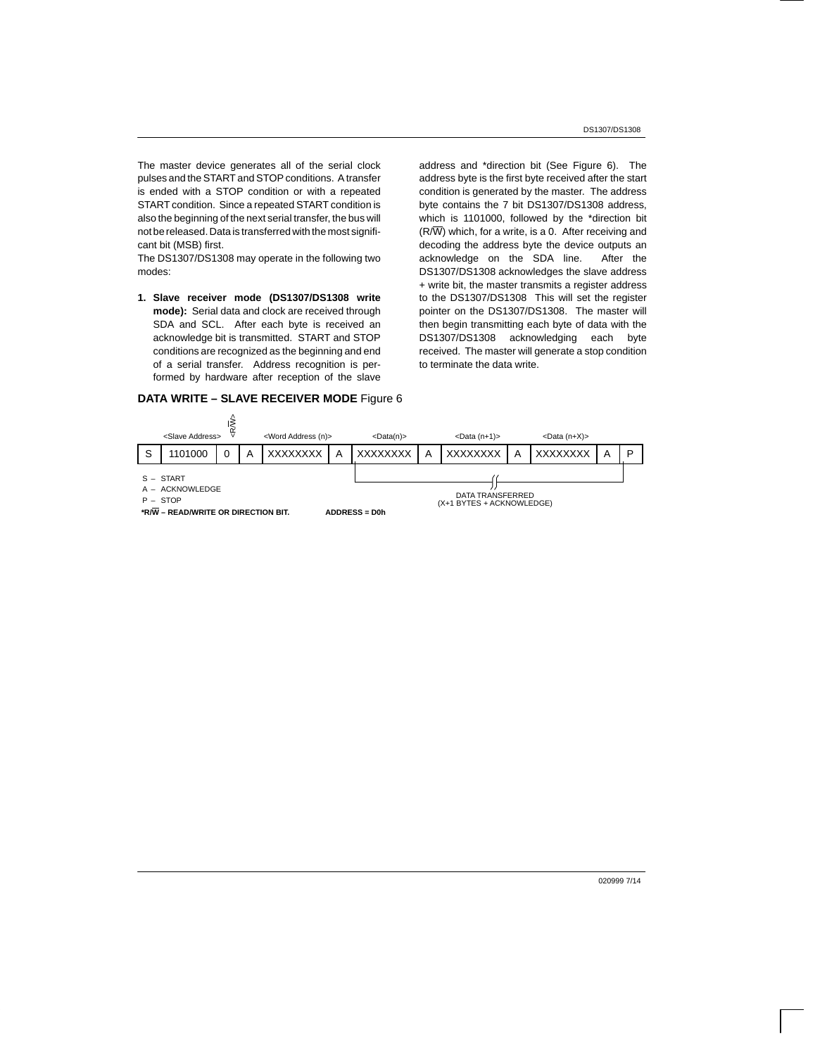The master device generates all of the serial clock pulses and the START and STOP conditions. A transfer is ended with a STOP condition or with a repeated START condition. Since a repeated START condition is also the beginning of the next serial transfer, the bus will not be released. Data is transferred with the most significant bit (MSB) first.

The DS1307/DS1308 may operate in the following two modes:

**1. Slave receiver mode (DS1307/DS1308 write mode):** Serial data and clock are received through SDA and SCL. After each byte is received an acknowledge bit is transmitted. START and STOP conditions are recognized as the beginning and end of a serial transfer. Address recognition is performed by hardware after reception of the slave

#### **DATA WRITE – SLAVE RECEIVER MODE** Figure 6

address and \*direction bit (See Figure 6). The address byte is the first byte received after the start condition is generated by the master. The address byte contains the 7 bit DS1307/DS1308 address, which is 1101000, followed by the \*direction bit  $(R/\overline{W})$  which, for a write, is a 0. After receiving and decoding the address byte the device outputs an acknowledge on the SDA line. After the DS1307/DS1308 acknowledges the slave address + write bit, the master transmits a register address to the DS1307/DS1308 This will set the register pointer on the DS1307/DS1308. The master will then begin transmitting each byte of data with the DS1307/DS1308 acknowledging each byte received. The master will generate a stop condition to terminate the data write.

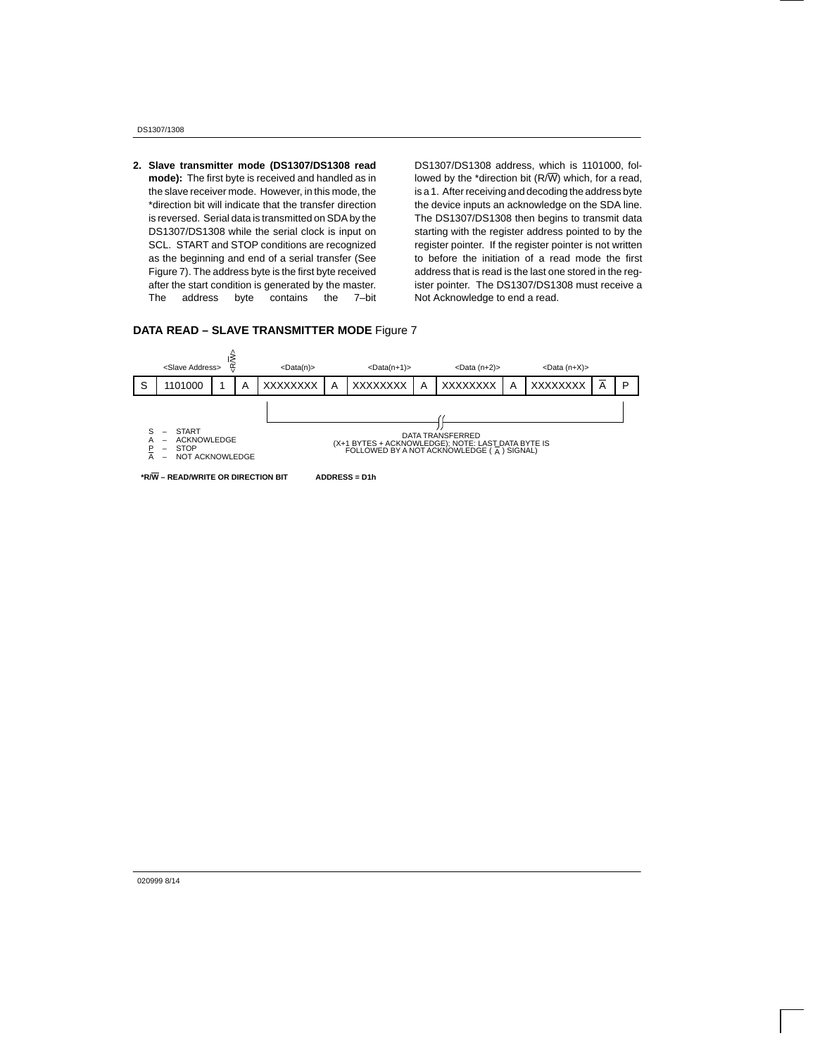DS1307/1308

**2. Slave transmitter mode (DS1307/DS1308 read mode):** The first byte is received and handled as in the slave receiver mode. However, in this mode, the \*direction bit will indicate that the transfer direction is reversed. Serial data is transmitted on SDA by the DS1307/DS1308 while the serial clock is input on SCL. START and STOP conditions are recognized as the beginning and end of a serial transfer (See Figure 7). The address byte is the first byte received after the start condition is generated by the master. The address byte contains the 7–bit

DS1307/DS1308 address, which is 1101000, followed by the \*direction bit  $(R/\overline{W})$  which, for a read, is a 1. After receiving and decoding the address byte the device inputs an acknowledge on the SDA line. The DS1307/DS1308 then begins to transmit data starting with the register address pointed to by the register pointer. If the register pointer is not written to before the initiation of a read mode the first address that is read is the last one stored in the register pointer. The DS1307/DS1308 must receive a Not Acknowledge to end a read.

#### **DATA READ – SLAVE TRANSMITTER MODE** Figure 7



**\*R/W – READ/WRITE OR DIRECTION BIT ADDRESS = D1h**

020999 8/14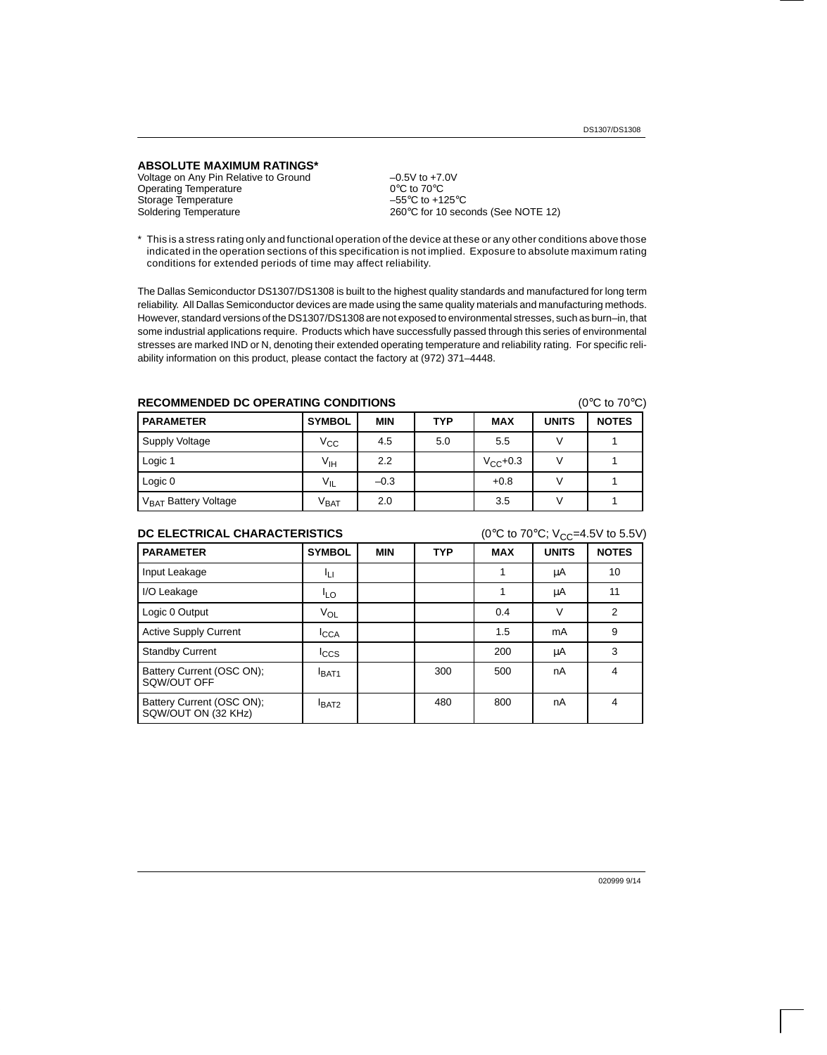#### **ABSOLUTE MAXIMUM RATINGS\***

Voltage on Any Pin Relative to Ground  $-0.5V$  to +7.0V<br>Operating Temperature  $0^{\circ}$ C to 70°C Operating Temperature 0°C to 70°C<br>Storage Temperature 60°C to +125°C Storage Temperature<br>Soldering Temperature

260°C for 10 seconds (See NOTE 12)

\* This is a stress rating only and functional operation of the device at these or any other conditions above those indicated in the operation sections of this specification is not implied. Exposure to absolute maximum rating conditions for extended periods of time may affect reliability.

The Dallas Semiconductor DS1307/DS1308 is built to the highest quality standards and manufactured for long term reliability. All Dallas Semiconductor devices are made using the same quality materials and manufacturing methods. However, standard versions of the DS1307/DS1308 are not exposed to environmental stresses, such as burn–in, that some industrial applications require. Products which have successfully passed through this series of environmental stresses are marked IND or N, denoting their extended operating temperature and reliability rating. For specific reliability information on this product, please contact the factory at (972) 371–4448.

## **RECOMMENDED DC OPERATING CONDITIONS** (0°C to 70°C)

| <b>PARAMETER</b>                 | <b>SYMBOL</b>   | <b>MIN</b> | <b>TYP</b> | <b>MAX</b>    | <b>UNITS</b> | <b>NOTES</b> |
|----------------------------------|-----------------|------------|------------|---------------|--------------|--------------|
| Supply Voltage                   | Vcc             | 4.5        | 5.0        | 5.5           |              |              |
| Logic 1                          | V <sub>IH</sub> | 2.2        |            | $V_{CC}$ +0.3 |              |              |
| Logic 0                          | $V_{IL}$        | $-0.3$     |            | $+0.8$        |              |              |
| V <sub>BAT</sub> Battery Voltage | $\rm v_{BAT}$   | 2.0        |            | 3.5           |              |              |

#### **DC ELECTRICAL CHARACTERISTICS**  $(0^{\circ}C \text{ to } 70^{\circ}C; V_{CC} = 4.5V \text{ to } 5.5V)$

| <b>PARAMETER</b>                                 | <b>SYMBOL</b>   | <b>MIN</b> | <b>TYP</b> | <b>MAX</b> | <b>UNITS</b> | <b>NOTES</b>   |
|--------------------------------------------------|-----------------|------------|------------|------------|--------------|----------------|
| Input Leakage                                    | Iц              |            |            |            | μA           | 10             |
| I/O Leakage                                      | <sup>I</sup> LO |            |            |            | μA           | 11             |
| Logic 0 Output                                   | VOL             |            |            | 0.4        | V            | $\overline{2}$ |
| <b>Active Supply Current</b>                     | <b>I</b> CCA    |            |            | 1.5        | mA           | 9              |
| <b>Standby Current</b>                           | $_{\text{LCS}}$ |            |            | 200        | μA           | 3              |
| Battery Current (OSC ON);<br>SQW/OUT OFF         | <b>IBAT1</b>    |            | 300        | 500        | nA           | 4              |
| Battery Current (OSC ON);<br>SQW/OUT ON (32 KHz) | <b>BAT2</b>     |            | 480        | 800        | nA           | 4              |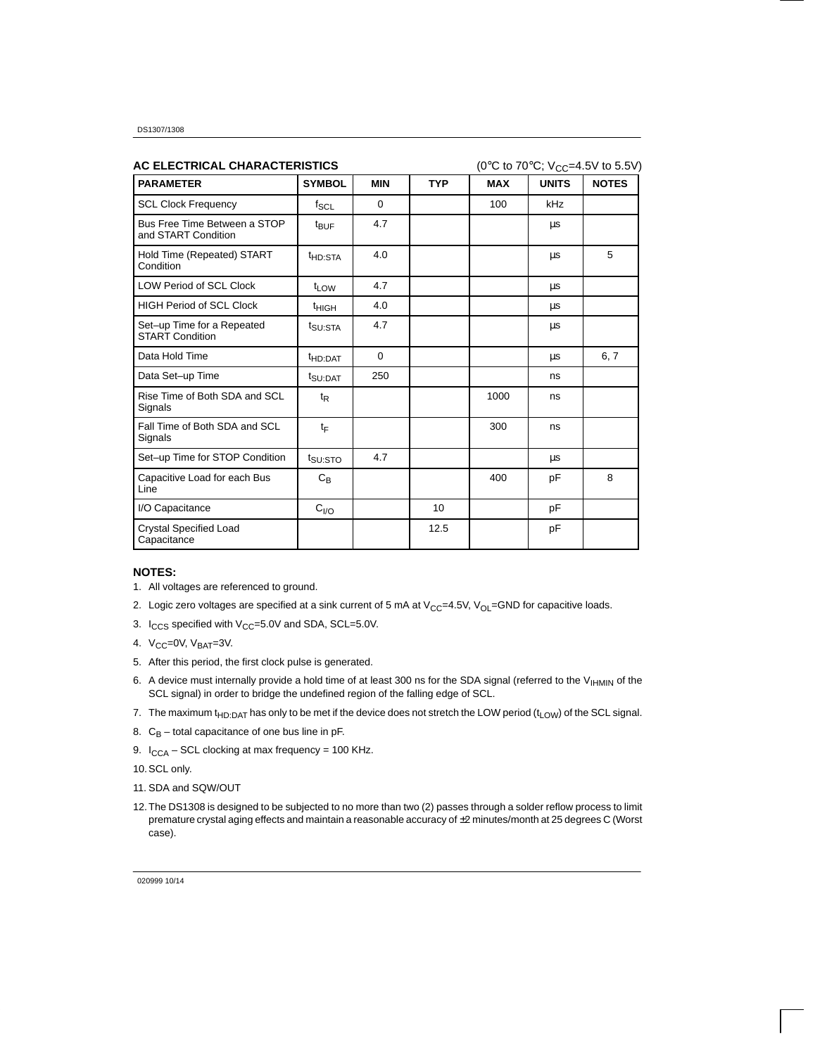| AC ELECTRICAL CHARACTERISTICS                        |                     |            |                 | (0°C to 70°C; $V_{CC} = 4.5V$ to 5.5V) |              |              |
|------------------------------------------------------|---------------------|------------|-----------------|----------------------------------------|--------------|--------------|
| <b>PARAMETER</b>                                     | <b>SYMBOL</b>       | <b>MIN</b> | <b>TYP</b>      | <b>MAX</b>                             | <b>UNITS</b> | <b>NOTES</b> |
| <b>SCL Clock Frequency</b>                           | $f_{SCL}$           | $\Omega$   |                 | 100                                    | kHz          |              |
| Bus Free Time Between a STOP<br>and START Condition  | t <sub>BUF</sub>    | 4.7        |                 |                                        | μs           |              |
| Hold Time (Repeated) START<br>Condition              | t <sub>HD:STA</sub> | 4.0        |                 |                                        | μs           | 5            |
| <b>LOW Period of SCL Clock</b>                       | $t_{LOW}$           | 4.7        |                 |                                        | μs           |              |
| <b>HIGH Period of SCL Clock</b>                      | <sup>t</sup> HIGH   | 4.0        |                 |                                        | μs           |              |
| Set-up Time for a Repeated<br><b>START Condition</b> | t <sub>SU:STA</sub> | 4.7        |                 |                                        | μs           |              |
| Data Hold Time                                       | <sup>t</sup> HD:DAT | $\Omega$   |                 |                                        | μs           | 6, 7         |
| Data Set-up Time                                     | t <sub>SU:DAT</sub> | 250        |                 |                                        | ns           |              |
| Rise Time of Both SDA and SCL<br>Signals             | $t_{\mathsf{R}}$    |            |                 | 1000                                   | ns           |              |
| Fall Time of Both SDA and SCL<br>Signals             | tF                  |            |                 | 300                                    | ns           |              |
| Set-up Time for STOP Condition                       | $t_{\text{SU:STO}}$ | 4.7        |                 |                                        | μs           |              |
| Capacitive Load for each Bus<br>Line                 | $C_B$               |            |                 | 400                                    | pF           | 8            |
| I/O Capacitance                                      | C <sub>I/O</sub>    |            | 10 <sup>1</sup> |                                        | pF           |              |
| <b>Crystal Specified Load</b><br>Capacitance         |                     |            | 12.5            |                                        | pF           |              |

#### **NOTES:**

- 1. All voltages are referenced to ground.
- 2. Logic zero voltages are specified at a sink current of 5 mA at  $V_{CC}=4.5V$ ,  $V_{OL}=GND$  for capacitive loads.
- 3.  $I_{CCS}$  specified with  $V_{CC}$ =5.0V and SDA, SCL=5.0V.
- 4.  $V_{CC}$ =0V,  $V_{BAT}$ =3V.
- 5. After this period, the first clock pulse is generated.
- 6. A device must internally provide a hold time of at least 300 ns for the SDA signal (referred to the V<sub>IHMIN</sub> of the SCL signal) in order to bridge the undefined region of the falling edge of SCL.
- 7. The maximum t<sub>HD:DAT</sub> has only to be met if the device does not stretch the LOW period (t<sub>LOW</sub>) of the SCL signal.
- 8.  $C_B$  total capacitance of one bus line in pF.
- 9.  $I_{CCA}$  SCL clocking at max frequency = 100 KHz.

10. SCL only.

- 11. SDA and SQW/OUT
- 12. The DS1308 is designed to be subjected to no more than two (2) passes through a solder reflow process to limit premature crystal aging effects and maintain a reasonable accuracy of ±2 minutes/month at 25 degrees C (Worst case).

020999 10/14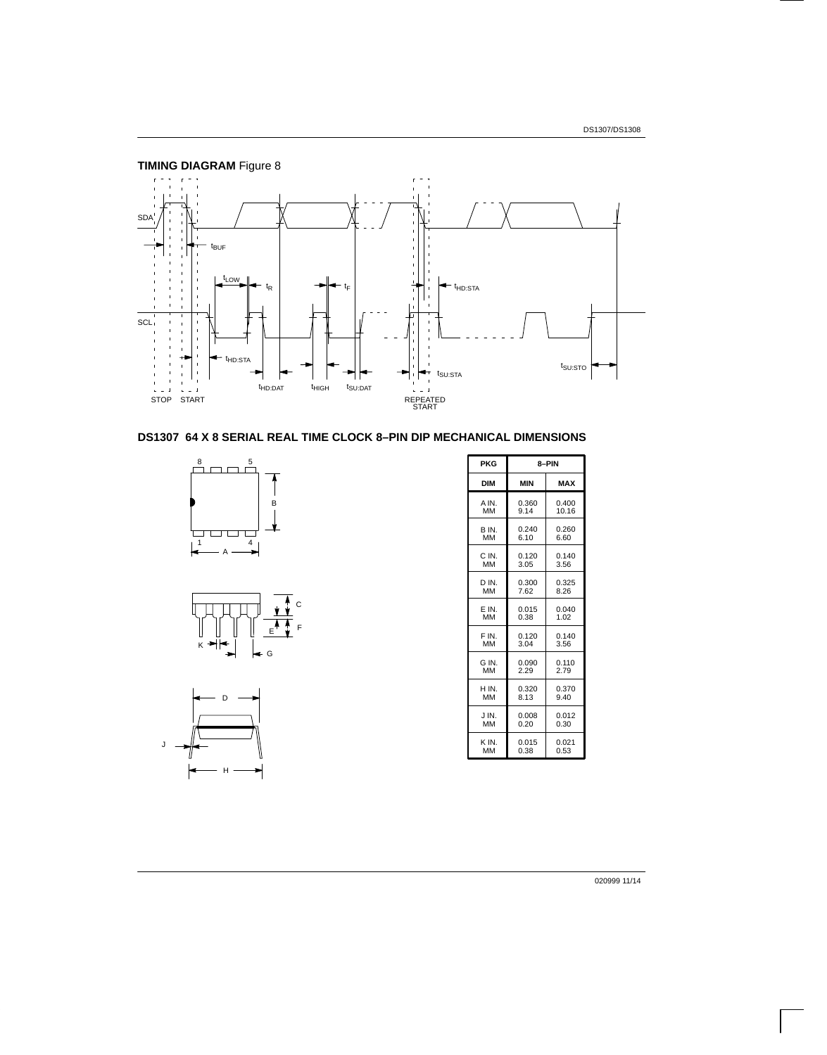

# **DS1307 64 X 8 SERIAL REAL TIME CLOCK 8–PIN DIP MECHANICAL DIMENSIONS**







| <b>PKG</b> | 8-PIN      |            |  |  |
|------------|------------|------------|--|--|
| <b>DIM</b> | <b>MIN</b> | <b>MAX</b> |  |  |
| A IN.      | 0.360      | 0.400      |  |  |
| MM         | 9.14       | 10.16      |  |  |
| B IN.      | 0.240      | 0.260      |  |  |
| MM         | 6.10       | 6.60       |  |  |
| C IN.      | 0.120      | 0.140      |  |  |
| MM         | 3.05       | 3.56       |  |  |
| D IN.      | 0.300      | 0.325      |  |  |
| <b>MM</b>  | 7.62       | 8.26       |  |  |
| E IN.      | 0.015      | 0.040      |  |  |
| <b>MM</b>  | 0.38       | 1.02       |  |  |
| F IN.      | 0.120      | 0.140      |  |  |
| <b>MM</b>  | 3.04       | 3.56       |  |  |
| G IN.      | 0.090      | 0.110      |  |  |
| <b>MM</b>  | 2.29       | 2.79       |  |  |
| H IN.      | 0.320      | 0.370      |  |  |
| <b>MM</b>  | 8.13       | 9.40       |  |  |
| J IN.      | 0.008      | 0.012      |  |  |
| <b>MM</b>  | 0.20       | 0.30       |  |  |
| K IN.      | 0.015      | 0.021      |  |  |
| <b>MM</b>  | 0.38       | 0.53       |  |  |

020999 11/14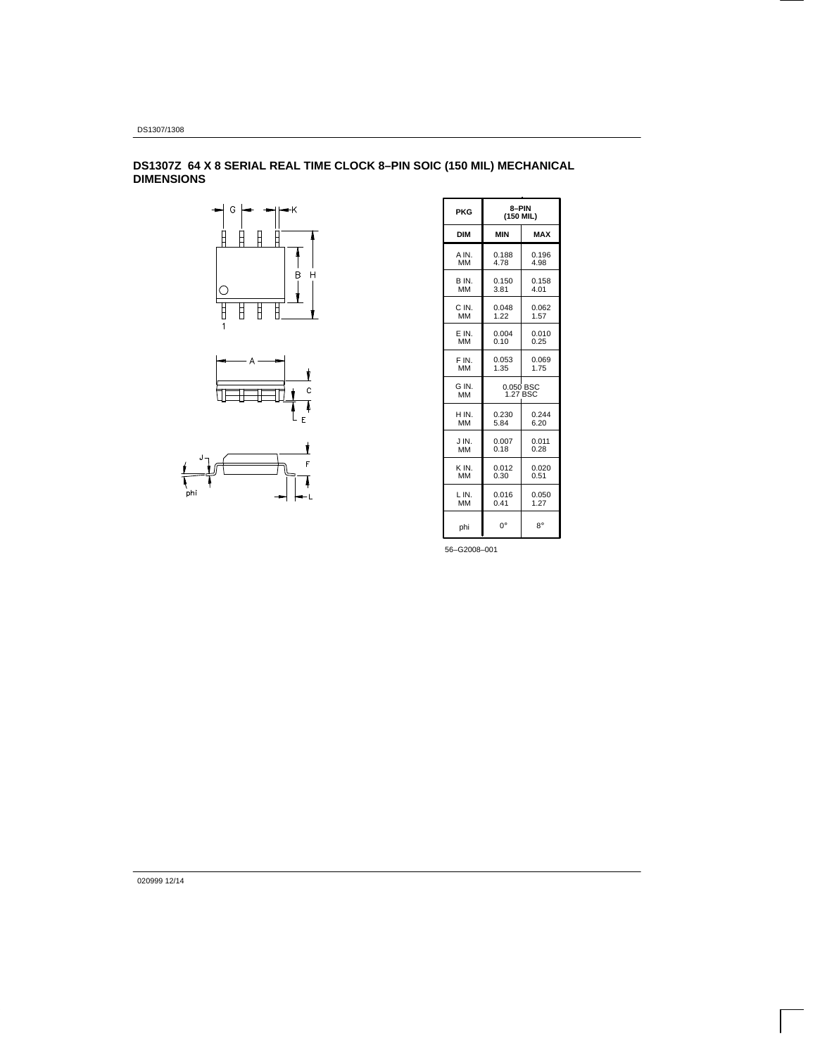**DS1307Z 64 X 8 SERIAL REAL TIME CLOCK 8–PIN SOIC (150 MIL) MECHANICAL DIMENSIONS**





| <b>PKG</b>  | 8-PIN<br>(150 MIL)    |            |  |  |  |
|-------------|-----------------------|------------|--|--|--|
| <b>DIM</b>  | <b>MIN</b>            | <b>MAX</b> |  |  |  |
| A IN.       | 0.188                 | 0.196      |  |  |  |
| MМ          | 4.78                  | 4.98       |  |  |  |
| B IN.       | 0.150                 | 0.158      |  |  |  |
| <b>MM</b>   | 3.81                  | 4.01       |  |  |  |
| C IN.       | 0.048                 | 0.062      |  |  |  |
| <b>MM</b>   | 1.22                  | 1.57       |  |  |  |
| E IN.       | 0.004                 | 0.010      |  |  |  |
| MM          | 0.10                  | 0.25       |  |  |  |
| F IN.       | 0.053                 | 0.069      |  |  |  |
| MM          | 1.35                  | 1.75       |  |  |  |
| G IN.<br>MM | 0.050 BSC<br>1.27 BSC |            |  |  |  |
| H IN.       | 0.230                 | 0.244      |  |  |  |
| MM          | 5.84                  | 6.20       |  |  |  |
| J IN.       | 0.007                 | 0.011      |  |  |  |
| MM          | 0.18                  | 0.28       |  |  |  |
| K IN.       | 0.012                 | 0.020      |  |  |  |
| MM          | 0.30                  | 0.51       |  |  |  |
| LIN.        | 0.016                 | 0.050      |  |  |  |
| MM          | 0.41                  | 1.27       |  |  |  |
| phi         | $0^{\circ}$           | $8^\circ$  |  |  |  |

56–G2008–001

020999 12/14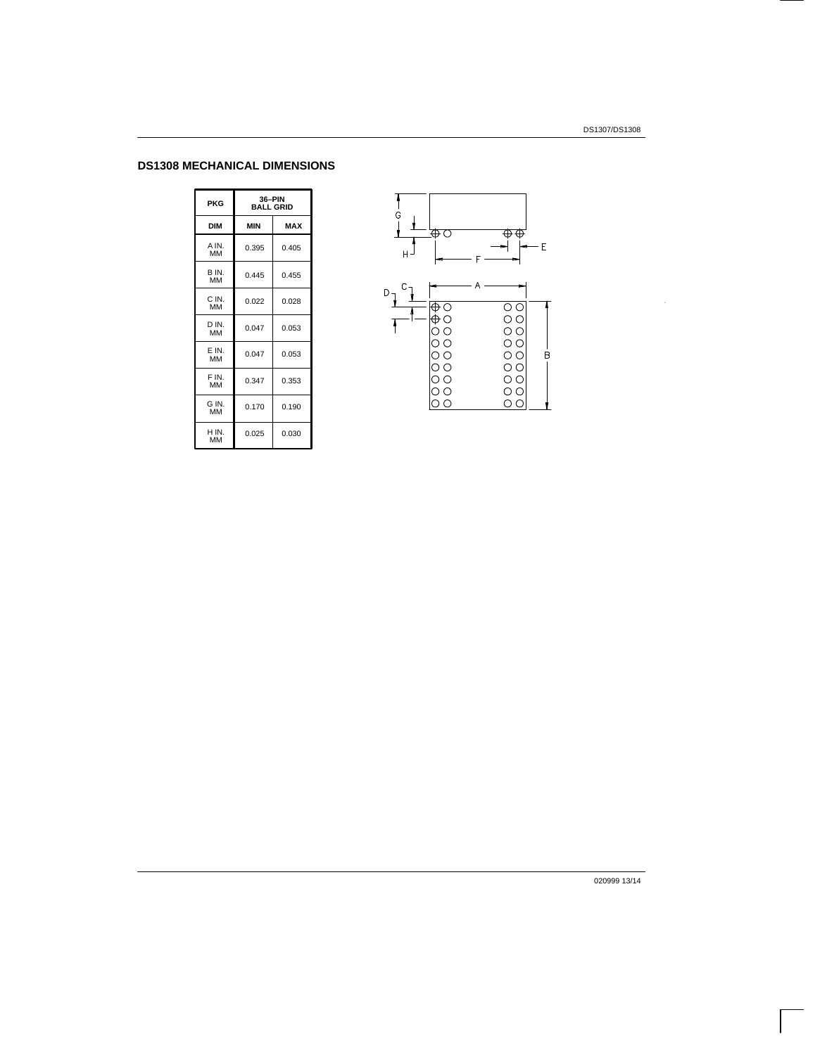# **DS1308 MECHANICAL DIMENSIONS**

| PKG                | 36-PIN<br><b>BALL GRID</b> |            |  |  |  |
|--------------------|----------------------------|------------|--|--|--|
| <b>DIM</b>         | <b>MIN</b>                 | <b>MAX</b> |  |  |  |
| A IN.<br>MM        | 0.395                      | 0.405      |  |  |  |
| B IN.<br>MM        | 0.445                      | 0.455      |  |  |  |
| C IN.<br><b>MM</b> | 0.022                      | 0.028      |  |  |  |
| D IN.<br>мм        | 0.047                      | 0.053      |  |  |  |
| E IN.<br>MM        | 0.047                      | 0.053      |  |  |  |
| F IN.<br><b>MM</b> | 0.347                      | 0.353      |  |  |  |
| G IN.<br>MM        | 0.170                      | 0.190      |  |  |  |
| H IN.<br>ΜМ        | 0.025                      | 0.030      |  |  |  |



020999 13/14